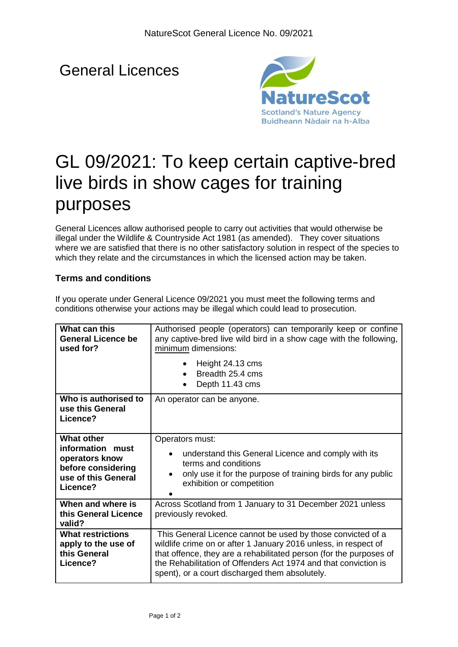# General Licences



# GL 09/2021: To keep certain captive-bred live birds in show cages for training purposes

General Licences allow authorised people to carry out activities that would otherwise be illegal under the Wildlife & Countryside Act 1981 (as amended). They cover situations where we are satisfied that there is no other satisfactory solution in respect of the species to which they relate and the circumstances in which the licensed action may be taken.

## **Terms and conditions**

| conditions otherwise your actions may be illegal which could lead to prosecution.                                   |                                                                                                                                                                                                                                                                                                                           |  |
|---------------------------------------------------------------------------------------------------------------------|---------------------------------------------------------------------------------------------------------------------------------------------------------------------------------------------------------------------------------------------------------------------------------------------------------------------------|--|
| What can this<br><b>General Licence be</b><br>used for?                                                             | Authorised people (operators) can temporarily keep or confine<br>any captive-bred live wild bird in a show cage with the following,<br>minimum dimensions:                                                                                                                                                                |  |
|                                                                                                                     | Height 24.13 cms<br>Breadth 25.4 cms<br>$\bullet$<br>Depth 11.43 cms                                                                                                                                                                                                                                                      |  |
| Who is authorised to<br>use this General<br>Licence?                                                                | An operator can be anyone.                                                                                                                                                                                                                                                                                                |  |
| <b>What other</b><br>information<br>must<br>operators know<br>before considering<br>use of this General<br>Licence? | Operators must:<br>understand this General Licence and comply with its<br>terms and conditions<br>only use it for the purpose of training birds for any public<br>exhibition or competition                                                                                                                               |  |
| When and where is<br>this General Licence<br>valid?                                                                 | Across Scotland from 1 January to 31 December 2021 unless<br>previously revoked.                                                                                                                                                                                                                                          |  |
| <b>What restrictions</b><br>apply to the use of<br>this General<br>Licence?                                         | This General Licence cannot be used by those convicted of a<br>wildlife crime on or after 1 January 2016 unless, in respect of<br>that offence, they are a rehabilitated person (for the purposes of<br>the Rehabilitation of Offenders Act 1974 and that conviction is<br>spent), or a court discharged them absolutely. |  |
|                                                                                                                     |                                                                                                                                                                                                                                                                                                                           |  |

If you operate under General Licence 09/2021 you must meet the following terms and conditions otherwise your maternals may be important